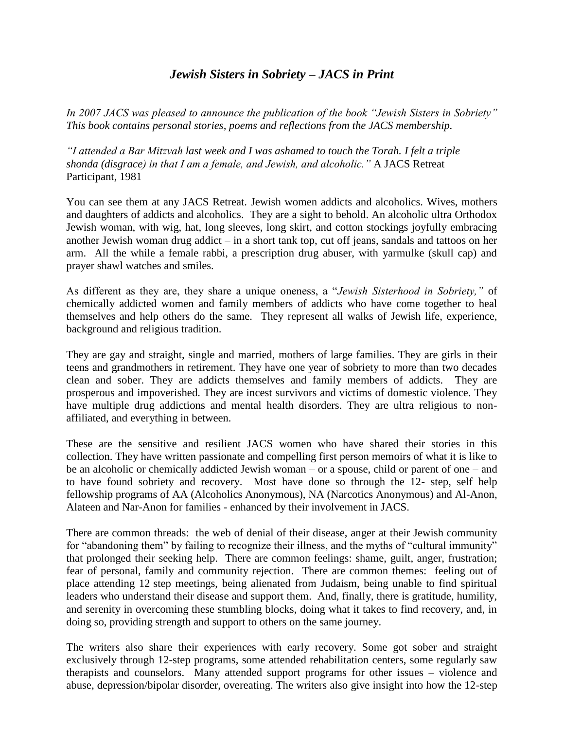## *Jewish Sisters in Sobriety – JACS in Print*

*In 2007 JACS was pleased to announce the publication of the book "Jewish Sisters in Sobriety" This book contains personal stories, poems and reflections from the JACS membership.*

*"I attended a Bar Mitzvah last week and I was ashamed to touch the Torah. I felt a triple shonda (disgrace) in that I am a female, and Jewish, and alcoholic."* A JACS Retreat Participant, 1981

You can see them at any JACS Retreat. Jewish women addicts and alcoholics. Wives, mothers and daughters of addicts and alcoholics. They are a sight to behold. An alcoholic ultra Orthodox Jewish woman, with wig, hat, long sleeves, long skirt, and cotton stockings joyfully embracing another Jewish woman drug addict – in a short tank top, cut off jeans, sandals and tattoos on her arm. All the while a female rabbi, a prescription drug abuser, with yarmulke (skull cap) and prayer shawl watches and smiles.

As different as they are, they share a unique oneness, a "*Jewish Sisterhood in Sobriety,"* of chemically addicted women and family members of addicts who have come together to heal themselves and help others do the same. They represent all walks of Jewish life, experience, background and religious tradition.

They are gay and straight, single and married, mothers of large families. They are girls in their teens and grandmothers in retirement. They have one year of sobriety to more than two decades clean and sober. They are addicts themselves and family members of addicts. They are prosperous and impoverished. They are incest survivors and victims of domestic violence. They have multiple drug addictions and mental health disorders. They are ultra religious to nonaffiliated, and everything in between.

These are the sensitive and resilient JACS women who have shared their stories in this collection. They have written passionate and compelling first person memoirs of what it is like to be an alcoholic or chemically addicted Jewish woman – or a spouse, child or parent of one – and to have found sobriety and recovery. Most have done so through the 12- step, self help fellowship programs of AA (Alcoholics Anonymous), NA (Narcotics Anonymous) and Al-Anon, Alateen and Nar-Anon for families - enhanced by their involvement in JACS.

There are common threads: the web of denial of their disease, anger at their Jewish community for "abandoning them" by failing to recognize their illness, and the myths of "cultural immunity" that prolonged their seeking help. There are common feelings: shame, guilt, anger, frustration; fear of personal, family and community rejection. There are common themes: feeling out of place attending 12 step meetings, being alienated from Judaism, being unable to find spiritual leaders who understand their disease and support them. And, finally, there is gratitude, humility, and serenity in overcoming these stumbling blocks, doing what it takes to find recovery, and, in doing so, providing strength and support to others on the same journey.

The writers also share their experiences with early recovery. Some got sober and straight exclusively through 12-step programs, some attended rehabilitation centers, some regularly saw therapists and counselors. Many attended support programs for other issues – violence and abuse, depression/bipolar disorder, overeating. The writers also give insight into how the 12-step